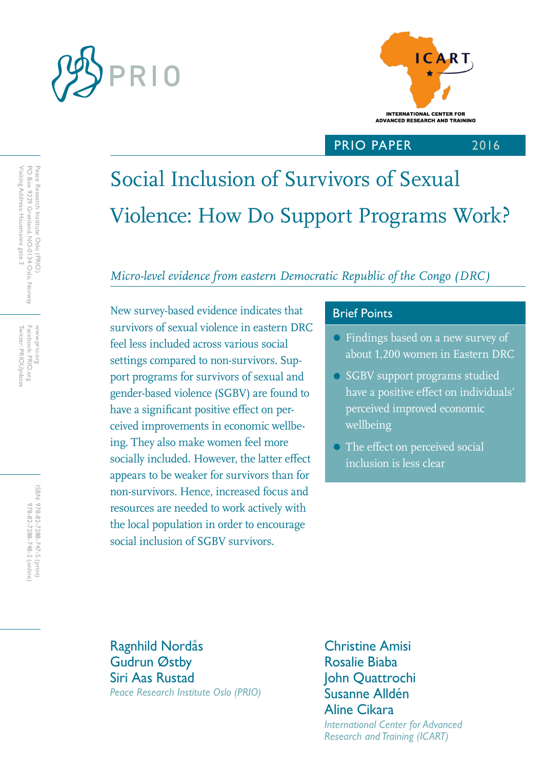



# PRIO PAPER

2016

# Social Inclusion of Survivors of Sexual Violence: How Do Support Programs Work?

# *Micro-level evidence from eastern Democratic Republic of the Congo (DRC)*

New survey-based evidence indicates that Brief Points survivors of sexual violence in eastern DRC feel less included across various social settings compared to non-survivors. Support programs for survivors of sexual and gender-based violence (SGBV) are found to have a significant positive effect on perceived improvements in economic wellbeing. They also make women feel more socially included. However, the latter effect appears to be weaker for survivors than for non-survivors. Hence, increased focus and resources are needed to work actively with the local population in order to encourage social inclusion of SGBV survivors.

- Findings based on a new survey of about 1,200 women in Eastern DRC
- SGBV support programs studied have a positive effect on individuals' perceived improved economic wellbeing
- The effect on perceived social inclusion is less clear

Ragnhild Nordås Gudrun Østby Siri Aas Rustad *Peace Research Institute Oslo (PRIO)*

Christine Amisi Rosalie Biaba John Quattrochi Susanne Alldén Aline Cikara *International Center for Advanced Research and Training (ICART)* 

Twitter: PRIOUpdates Facebook: PRIO.org Twitter: PRIOUpdates Facebook: PRIO.org www.prio.org www.prio.org

> ISBN: 978-82-7288-747-5 (print) 978-82-7288-748-2 (online) 978-82-7288-748-2 (online) 978-82-7288-747-5 (print)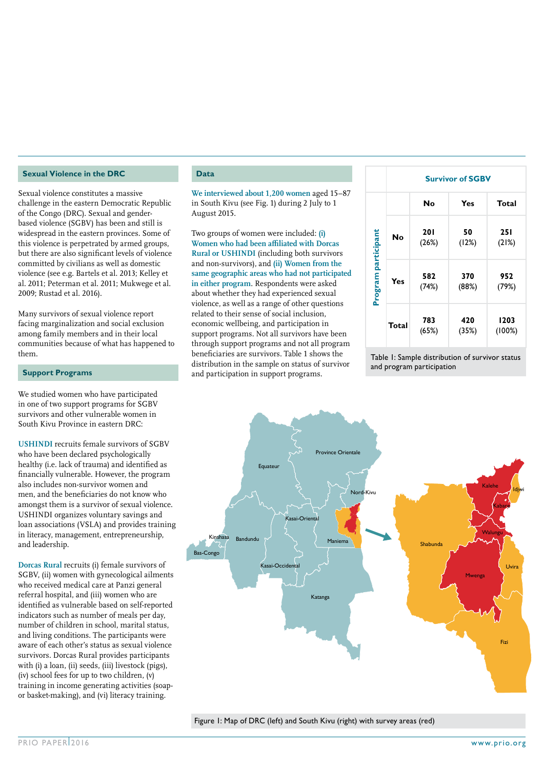#### **Sexual Violence in the DRC**

Sexual violence constitutes a massive challenge in the eastern Democratic Republic of the Congo (DRC). Sexual and genderbased violence (SGBV) has been and still is widespread in the eastern provinces. Some of this violence is perpetrated by armed groups, but there are also significant levels of violence committed by civilians as well as domestic violence (see e.g. Bartels et al. 2013; Kelley et al. 2011; Peterman et al. 2011; Mukwege et al. 2009; Rustad et al. 2016).

Many survivors of sexual violence report facing marginalization and social exclusion among family members and in their local communities because of what has happened to them.

#### **Support Programs**

We studied women who have participated in one of two support programs for SGBV survivors and other vulnerable women in South Kivu Province in eastern DRC:

**USHINDI** recruits female survivors of SGBV who have been declared psychologically healthy (i.e. lack of trauma) and identified as financially vulnerable. However, the program also includes non-survivor women and men, and the beneficiaries do not know who amongst them is a survivor of sexual violence. USHINDI organizes voluntary savings and loan associations (VSLA) and provides training in literacy, management, entrepreneurship, and leadership.

**Dorcas Rural** recruits (i) female survivors of SGBV, (ii) women with gynecological ailments who received medical care at Panzi general referral hospital, and (iii) women who are identified as vulnerable based on self-reported indicators such as number of meals per day, number of children in school, marital status, and living conditions. The participants were aware of each other's status as sexual violence survivors. Dorcas Rural provides participants with (i) a loan, (ii) seeds, (iii) livestock (pigs), (iv) school fees for up to two children, (v) training in income generating activities (soapor basket-making), and (vi) literacy training.

#### **Data**

**We interviewed about 1,200 women** aged 15–87 in South Kivu (see Fig. 1) during 2 July to 1 August 2015.

Two groups of women were included: **(i) Women who had been affiliated with Dorcas Rural or USHINDI** (including both survivors and non-survivors), and **(ii) Women from the same geographic areas who had not participated in either program**. Respondents were asked about whether they had experienced sexual violence, as well as a range of other questions related to their sense of social inclusion, economic wellbeing, and participation in support programs. Not all survivors have been through support programs and not all program beneficiaries are survivors. Table 1 shows the distribution in the sample on status of survivor and participation in support programs.

|                     | <b>Survivor of SGBV</b> |                     |              |                     |
|---------------------|-------------------------|---------------------|--------------|---------------------|
|                     |                         | No                  | Yes          | <b>Total</b>        |
| Program participant | <b>No</b>               | <b>201</b><br>(26%) | 50<br>(12%)  | <b>251</b><br>(21%) |
|                     | Yes                     | 582<br>(74%)        | 370<br>(88%) | 952<br>(79%)        |
|                     | Total                   | 783<br>(65%)        | 420<br>(35%) | 1203<br>(100%)      |

Table 1: Sample distribution of survivor status and program participation



Figure 1: Map of DRC (left) and South Kivu (right) with survey areas (red)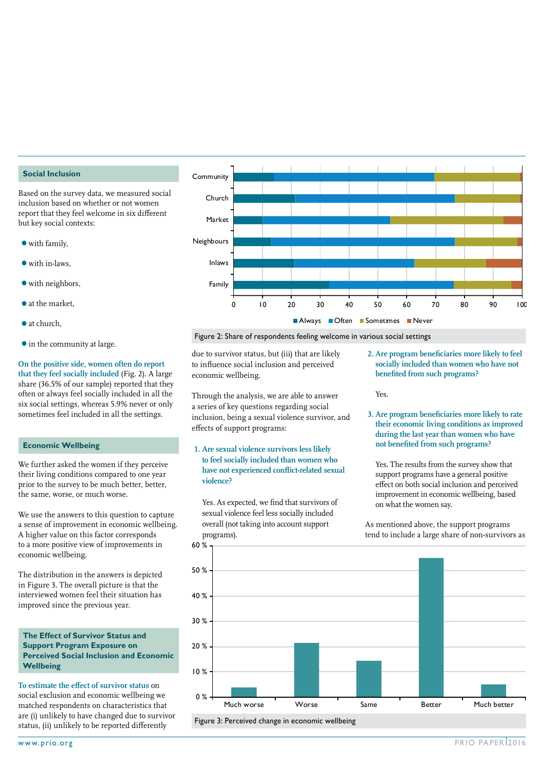#### **Social Inclusion**

Based on the survey data, we measured social inclusion based on whether or not women report that they feel welcome in six different but key social contexts:

- $\bullet$  with family,
- with in-laws,
- with neighbors,
- at the market,
- at church,
- $\bullet$  in the community at large.

**On the positive side, women often do report that they feel socially included** (Fig. 2). A large share (36.5% of our sample) reported that they often or always feel socially included in all the six social settings, whereas 5.9% never or only sometimes feel included in all the settings.

#### **Economic Wellbeing**

We further asked the women if they perceive their living conditions compared to one year prior to the survey to be much better, better, the same, worse, or much worse.

We use the answers to this question to capture a sense of improvement in economic wellbeing. A higher value on this factor corresponds to a more positive view of improvements in economic wellbeing.

The distribution in the answers is depicted in Figure 3. The overall picture is that the interviewed women feel their situation has improved since the previous year.

#### **The Effect of Survivor Status and Support Program Exposure on Perceived Social Inclusion and Economic Wellbeing**

**To estimate the effect of survivor status** on social exclusion and economic wellbeing we matched respondents on characteristics that are (i) unlikely to have changed due to survivor status, (ii) unlikely to be reported differently



Figure 2: Share of respondents feeling welcome in various social settings

due to survivor status, but (iii) that are likely to influence social inclusion and perceived economic wellbeing.

Through the analysis, we are able to answer a series of key questions regarding social inclusion, being a sexual violence survivor, and effects of support programs:

**1. Are sexual violence survivors less likely to feel socially included than women who have not experienced conflict-related sexual violence?**

Yes. As expected, we find that survivors of sexual violence feel less socially included overall (not taking into account support programs).

**2. Are program beneficiaries more likely to feel socially included than women who have not benefited from such programs?**

Yes.

**3. Are program beneficiaries more likely to rate their economic living conditions as improved during the last year than women who have not benefited from such programs?**

Yes. The results from the survey show that support programs have a general positive effect on both social inclusion and perceived improvement in economic wellbeing, based on what the women say.

As mentioned above, the support programs tend to include a large share of non-survivors as